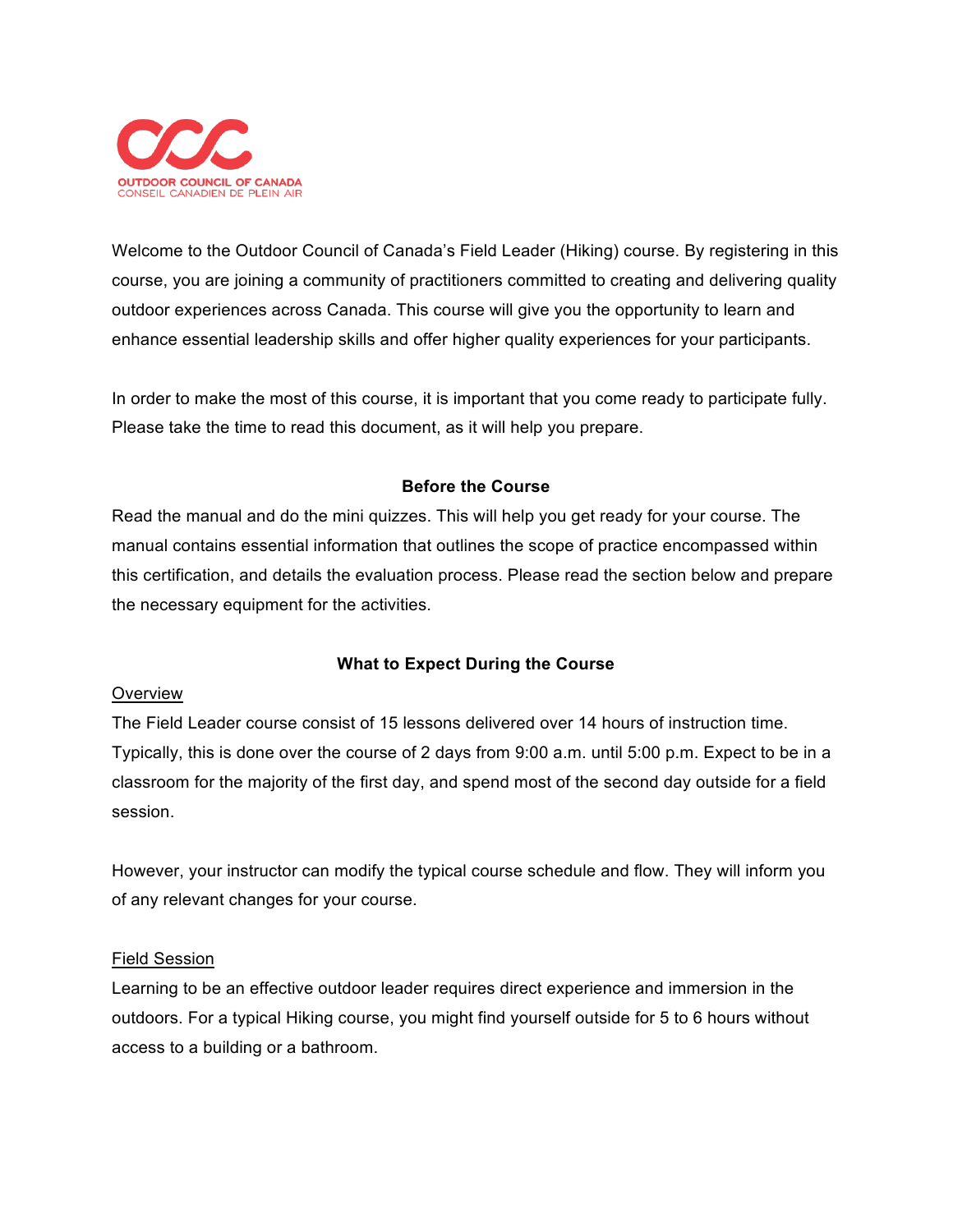

Welcome to the Outdoor Council of Canada's Field Leader (Hiking) course. By registering in this course, you are joining a community of practitioners committed to creating and delivering quality outdoor experiences across Canada. This course will give you the opportunity to learn and enhance essential leadership skills and offer higher quality experiences for your participants.

In order to make the most of this course, it is important that you come ready to participate fully. Please take the time to read this document, as it will help you prepare.

# **Before the Course**

Read the manual and do the mini quizzes. This will help you get ready for your course. The manual contains essential information that outlines the scope of practice encompassed within this certification, and details the evaluation process. Please read the section below and prepare the necessary equipment for the activities.

## **What to Expect During the Course**

### Overview

The Field Leader course consist of 15 lessons delivered over 14 hours of instruction time. Typically, this is done over the course of 2 days from 9:00 a.m. until 5:00 p.m. Expect to be in a classroom for the majority of the first day, and spend most of the second day outside for a field session.

However, your instructor can modify the typical course schedule and flow. They will inform you of any relevant changes for your course.

## Field Session

Learning to be an effective outdoor leader requires direct experience and immersion in the outdoors. For a typical Hiking course, you might find yourself outside for 5 to 6 hours without access to a building or a bathroom.